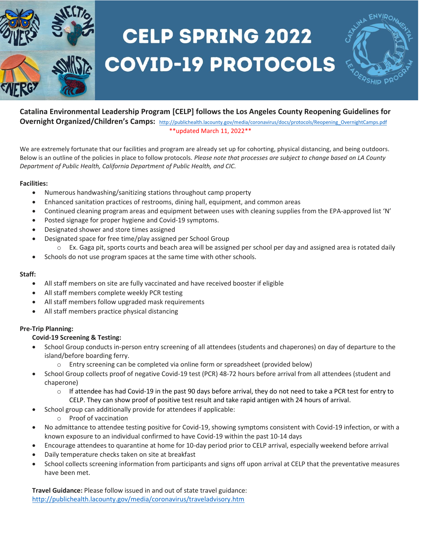

# **CELP SPRING 2022 COVID-19 PROTOCOLS**

### **Catalina Environmental Leadership Program [CELP] follows the Los Angeles County Reopening Guidelines for Overnight Organized/Children's Camps:** [http://publichealth.lacounty.gov/media/coronavirus/docs/protocols/Reopening\\_OvernightCamps.pdf](http://publichealth.lacounty.gov/media/coronavirus/docs/protocols/Reopening_OvernightCamps.pdf) \*\*updated March 11, 2022\*\*

We are extremely fortunate that our facilities and program are already set up for cohorting, physical distancing, and being outdoors.

Below is an outline of the policies in place to follow protocols. *Please note that processes are subject to change based on LA County Department of Public Health, California Department of Public Health, and CIC.* 

# **Facilities:**

- Numerous handwashing/sanitizing stations throughout camp property
- Enhanced sanitation practices of restrooms, dining hall, equipment, and common areas
- Continued cleaning program areas and equipment between uses with cleaning supplies from the EPA-approved list 'N'
- Posted signage for proper hygiene and Covid-19 symptoms.
- Designated shower and store times assigned
	- Designated space for free time/play assigned per School Group
- o Ex. Gaga pit, sports courts and beach area will be assigned per school per day and assigned area is rotated daily
- Schools do not use program spaces at the same time with other schools.

### **Staff:**

- All staff members on site are fully vaccinated and have received booster if eligible
- All staff members complete weekly PCR testing
- All staff members follow upgraded mask requirements
- All staff members practice physical distancing

# **Pre-Trip Planning:**

### **Covid-19 Screening & Testing:**

- School Group conducts in-person entry screening of all attendees (students and chaperones) on day of departure to the island/before boarding ferry.
	- $\circ$  Entry screening can be completed via online form or spreadsheet (provided below)
- School Group collects proof of negative Covid-19 test (PCR) 48-72 hours before arrival from all attendees (student and chaperone)
	- $\circ$  If attendee has had Covid-19 in the past 90 days before arrival, they do not need to take a PCR test for entry to CELP. They can show proof of positive test result and take rapid antigen with 24 hours of arrival.
- School group can additionally provide for attendees if applicable:
	- o Proof of vaccination
- No admittance to attendee testing positive for Covid-19, showing symptoms consistent with Covid-19 infection, or with a known exposure to an individual confirmed to have Covid-19 within the past 10-14 days
- Encourage attendees to quarantine at home for 10-day period prior to CELP arrival, especially weekend before arrival
- Daily temperature checks taken on site at breakfast
- School collects screening information from participants and signs off upon arrival at CELP that the preventative measures have been met.

**Travel Guidance:** Please follow issued in and out of state travel guidance: <http://publichealth.lacounty.gov/media/coronavirus/traveladvisory.htm>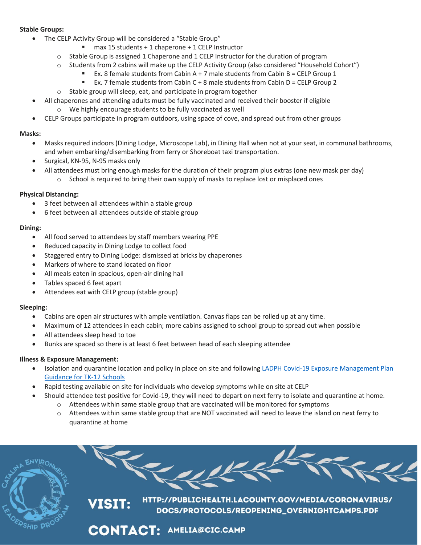### **Stable Groups:**

- The CELP Activity Group will be considered a "Stable Group"
	- max 15 students + 1 chaperone + 1 CELP Instructor
	- o Stable Group is assigned 1 Chaperone and 1 CELP Instructor for the duration of program
	- o Students from 2 cabins will make up the CELP Activity Group (also considered "Household Cohort")
		- **Ex.** 8 female students from Cabin A + 7 male students from Cabin B = CELP Group 1
		- Ex. 7 female students from Cabin C + 8 male students from Cabin D = CELP Group 2
	- o Stable group will sleep, eat, and participate in program together
	- All chaperones and attending adults must be fully vaccinated and received their booster if eligible o We highly encourage students to be fully vaccinated as well
- CELP Groups participate in program outdoors, using space of cove, and spread out from other groups

# **Masks:**

- Masks required indoors (Dining Lodge, Microscope Lab), in Dining Hall when not at your seat, in communal bathrooms, and when embarking/disembarking from ferry or Shoreboat taxi transportation.
- Surgical, KN-95, N-95 masks only
- All attendees must bring enough masks for the duration of their program plus extras (one new mask per day) School is required to bring their own supply of masks to replace lost or misplaced ones

### **Physical Distancing:**

- 3 feet between all attendees within a stable group
- 6 feet between all attendees outside of stable group

# **Dining:**

- All food served to attendees by staff members wearing PPE
- Reduced capacity in Dining Lodge to collect food
- Staggered entry to Dining Lodge: dismissed at bricks by chaperones
- Markers of where to stand located on floor
- All meals eaten in spacious, open-air dining hall
- Tables spaced 6 feet apart
- Attendees eat with CELP group (stable group)

### **Sleeping:**

- Cabins are open air structures with ample ventilation. Canvas flaps can be rolled up at any time.
- Maximum of 12 attendees in each cabin; more cabins assigned to school group to spread out when possible
- All attendees sleep head to toe
- Bunks are spaced so there is at least 6 feet between head of each sleeping attendee

# **Illness & Exposure Management:**

- Isolation and quarantine location and policy in place on site and following [LADPH Covid-19 Exposure Management Plan](http://publichealth.lacounty.gov/media/Coronavirus/docs/protocols/ExposureManagementPlan_K12Schools.pdf)  [Guidance for TK-12 Schools](http://publichealth.lacounty.gov/media/Coronavirus/docs/protocols/ExposureManagementPlan_K12Schools.pdf)
- Rapid testing available on site for individuals who develop symptoms while on site at CELP
	- Should attendee test positive for Covid-19, they will need to depart on next ferry to isolate and quarantine at home. o Attendees within same stable group that are vaccinated will be monitored for symptoms
		- o Attendees within same stable group that are NOT vaccinated will need to leave the island on next ferry to quarantine at home

HTTP://PUBLICHEALTH.LACOUNTY.GOV/MEDIA/CORONAVIRUS/ **/ISIT:** DOCS/PROTOCOLS/REOPENING\_OVERNIGHTCAMPS.PDF

**CONTACT: AMELIA@CIC.CAMP**